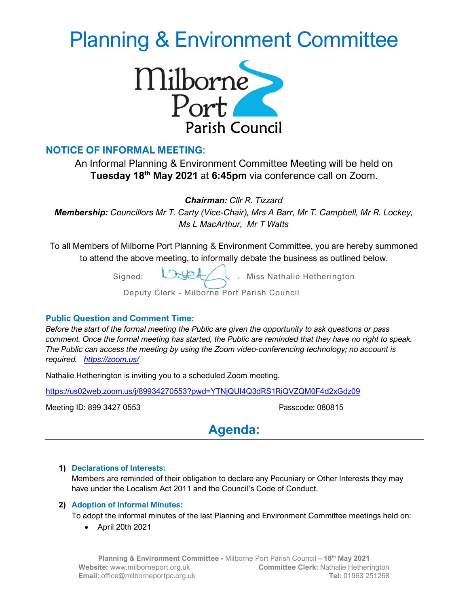# Planning & Environment Committee



# NOTICE OF INFORMAL MEETING:

An Informal Planning & Environment Committee Meeting will be held on Tuesday 18th May 2021 at 6:45pm via conference call on Zoom.

Chairman: Cllr R. Tizzard

Membership: Councillors Mr T. Carty (Vice-Chair), Mrs A Barr, Mr T. Campbell, Mr R. Lockey, Ms L MacArthur, Mr T Watts

To all Members of Milborne Port Planning & Environment Committee, you are hereby summoned to attend the above meeting, to informally debate the business as outlined below.

Signed:  $\bigcup \bigcup$  Miss Nathalie Hetherington

Deputy Clerk - Milborne Port Parish Council

# Public Question and Comment Time:

Before the start of the formal meeting the Public are given the opportunity to ask questions or pass comment. Once the formal meeting has started, the Public are reminded that they have no right to speak. The Public can access the meeting by using the Zoom video-conferencing technology; no account is required. https://zoom.us/

Nathalie Hetherington is inviting you to a scheduled Zoom meeting.

https://us02web.zoom.us/j/89934270553?pwd=YTNjQUI4Q3dRS1RiQVZQM0F4d2xGdz09

Meeting ID: 899 3427 0553 Passcode: 080815

Agenda:

# 1) Declarations of Interests:

Members are reminded of their obligation to declare any Pecuniary or Other Interests they may have under the Localism Act 2011 and the Council's Code of Conduct.

# 2) Adoption of Informal Minutes:

To adopt the informal minutes of the last Planning and Environment Committee meetings held on:

April 20th 2021